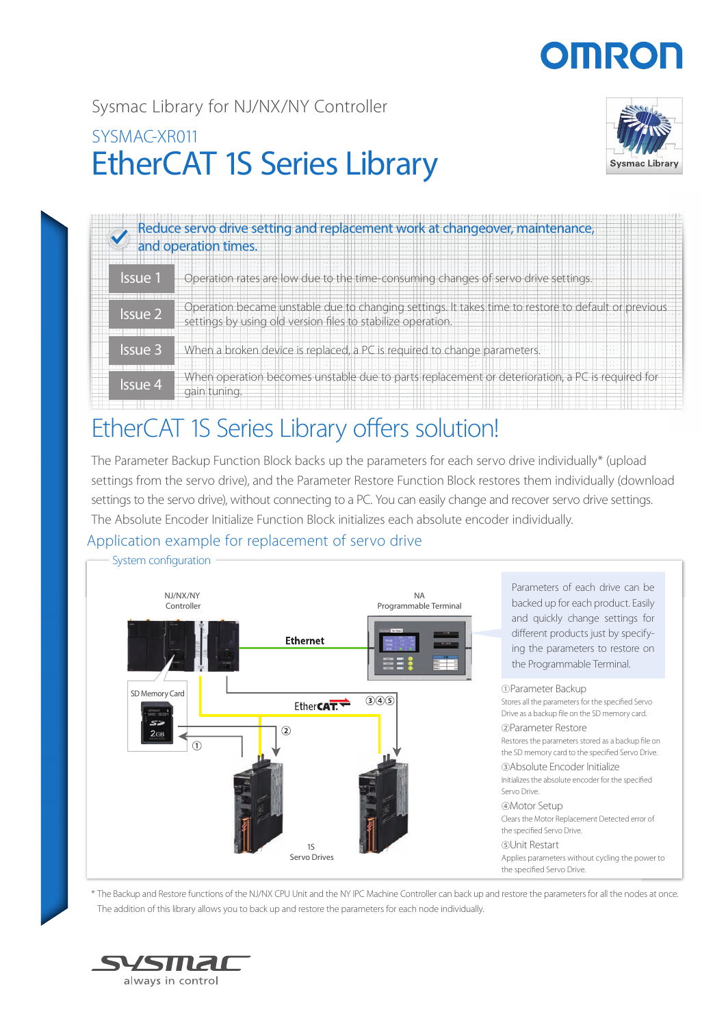# **OMROF**

## EtherCAT 1S Series Library Sysmac Library for NJ/NX/NY Controller SYSMAC-XR011



| Reduce servo drive setting and replacement work at changeover, maintenance,<br>and operation times. |                                                                                                                                                                   |  |  |  |
|-----------------------------------------------------------------------------------------------------|-------------------------------------------------------------------------------------------------------------------------------------------------------------------|--|--|--|
| lssue 1                                                                                             | Operation rates are low due to the time-consuming changes of servo drive settings.                                                                                |  |  |  |
| Issue 2                                                                                             | Operation became unstable due to changing settings. It takes time to restore to default or previous<br>settings by using old version files to stabilize operation |  |  |  |
| <b>Issue 3</b>                                                                                      | When a broken device is replaced, a PC is required to change parameters.                                                                                          |  |  |  |
| <b>Issue 4</b>                                                                                      | When operation becomes unstable due to parts replacement or deterioration, a PC is required for<br>gain tuning.                                                   |  |  |  |

## EtherCAT 1S Series Library offers solution! Et

The Parameter Backup Function Block backs up the parameters for each servo drive individually\* (upload settings from the servo drive), and the Parameter Restore Function Block restores them individually (download settings to the servo drive), without connecting to a PC. You can easily change and recover servo drive settings. The Absolute Encoder Initialize Function Block initializes each absolute encoder individually.

## Application example for replacement of servo drive



\* The Backup and Restore functions of the NJ/NX CPU Unit and the NY IPC Machine Controller can back up and restore the parameters for all the nodes at once. The addition of this library allows you to back up and restore the parameters for each node individually.